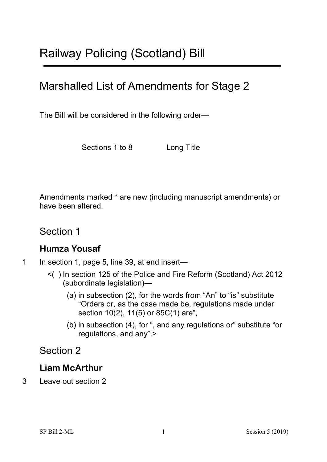# Marshalled List of Amendments for Stage 2

The Bill will be considered in the following order—

Sections 1 to 8 Long Title

Amendments marked \* are new (including manuscript amendments) or have been altered.

Section 1

#### **Humza Yousaf**

1 In section 1, page 5, line 39, at end insert—

- <( ) In section 125 of the Police and Fire Reform (Scotland) Act 2012 (subordinate legislation)—
	- (a) in subsection (2), for the words from "An" to "is" substitute "Orders or, as the case made be, regulations made under section 10(2), 11(5) or 85C(1) are",
	- (b) in subsection (4), for ", and any regulations or" substitute "or regulations, and any".>

## Section 2

#### **Liam McArthur**

3 Leave out section 2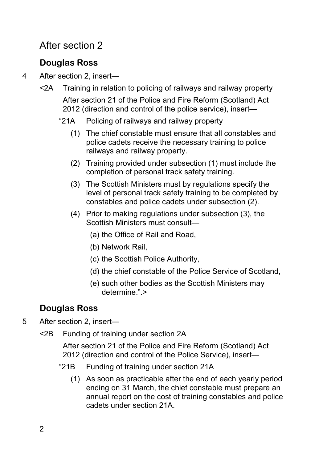# After section 2

## **Douglas Ross**

- 4 After section 2, insert—
	- <2A Training in relation to policing of railways and railway property After section 21 of the Police and Fire Reform (Scotland) Act 2012 (direction and control of the police service), insert—
		- "21A Policing of railways and railway property
			- (1) The chief constable must ensure that all constables and police cadets receive the necessary training to police railways and railway property.
			- (2) Training provided under subsection (1) must include the completion of personal track safety training.
			- (3) The Scottish Ministers must by regulations specify the level of personal track safety training to be completed by constables and police cadets under subsection (2).
			- (4) Prior to making regulations under subsection (3), the Scottish Ministers must consult—
				- (a) the Office of Rail and Road,
				- (b) Network Rail,
				- (c) the Scottish Police Authority,
				- (d) the chief constable of the Police Service of Scotland,
				- (e) such other bodies as the Scottish Ministers may determine." >

# **Douglas Ross**

5 After section 2, insert—

<2B Funding of training under section 2A

After section 21 of the Police and Fire Reform (Scotland) Act 2012 (direction and control of the Police Service), insert—

- "21B Funding of training under section 21A
	- (1) As soon as practicable after the end of each yearly period ending on 31 March, the chief constable must prepare an annual report on the cost of training constables and police cadets under section 21A.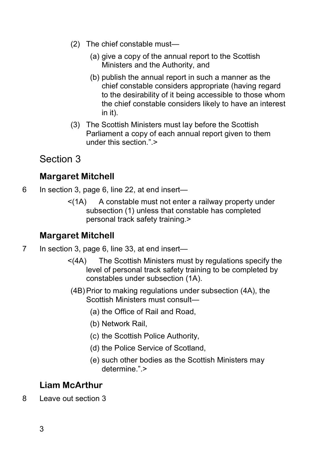- (2) The chief constable must—
	- (a) give a copy of the annual report to the Scottish Ministers and the Authority, and
	- (b) publish the annual report in such a manner as the chief constable considers appropriate (having regard to the desirability of it being accessible to those whom the chief constable considers likely to have an interest in it).
- (3) The Scottish Ministers must lay before the Scottish Parliament a copy of each annual report given to them under this section  $"$  >

# Section 3

## **Margaret Mitchell**

- 6 In section 3, page 6, line 22, at end insert—
	- $\leq$  (1A) A constable must not enter a railway property under subsection (1) unless that constable has completed personal track safety training.>

## **Margaret Mitchell**

- 7 In section 3, page 6, line 33, at end insert—
	- <(4A) The Scottish Ministers must by regulations specify the level of personal track safety training to be completed by constables under subsection (1A).
	- (4B)Prior to making regulations under subsection (4A), the Scottish Ministers must consult—
		- (a) the Office of Rail and Road,
		- (b) Network Rail,
		- (c) the Scottish Police Authority,
		- (d) the Police Service of Scotland,
		- (e) such other bodies as the Scottish Ministers may determine.".>

#### **Liam McArthur**

8 Leave out section 3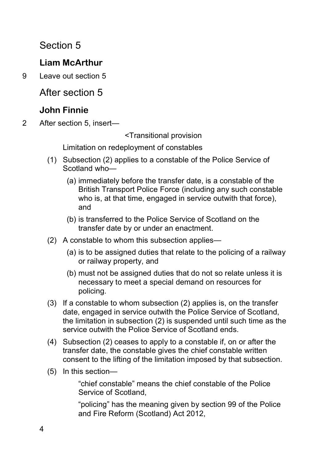Section 5

## **Liam McArthur**

9 Leave out section 5

After section 5

## **John Finnie**

2 After section 5, insert—

<Transitional provision

Limitation on redeployment of constables

- (1) Subsection (2) applies to a constable of the Police Service of Scotland who—
	- (a) immediately before the transfer date, is a constable of the British Transport Police Force (including any such constable who is, at that time, engaged in service outwith that force). and
	- (b) is transferred to the Police Service of Scotland on the transfer date by or under an enactment.
- (2) A constable to whom this subsection applies—
	- (a) is to be assigned duties that relate to the policing of a railway or railway property, and
	- (b) must not be assigned duties that do not so relate unless it is necessary to meet a special demand on resources for policing.
- (3) If a constable to whom subsection (2) applies is, on the transfer date, engaged in service outwith the Police Service of Scotland, the limitation in subsection (2) is suspended until such time as the service outwith the Police Service of Scotland ends.
- (4) Subsection (2) ceases to apply to a constable if, on or after the transfer date, the constable gives the chief constable written consent to the lifting of the limitation imposed by that subsection.
- (5) In this section—

"chief constable" means the chief constable of the Police Service of Scotland,

"policing" has the meaning given by section 99 of the Police and Fire Reform (Scotland) Act 2012,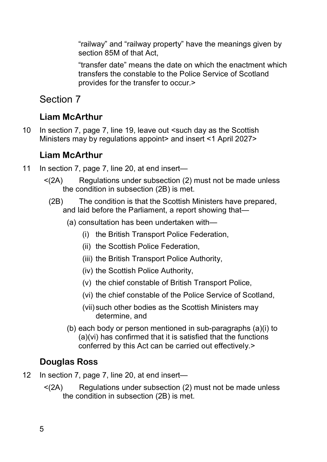"railway" and "railway property" have the meanings given by section 85M of that Act,

"transfer date" means the date on which the enactment which transfers the constable to the Police Service of Scotland provides for the transfer to occur.>

Section 7

## **Liam McArthur**

10 In section 7, page 7, line 19, leave out <such day as the Scottish Ministers may by regulations appoint> and insert <1 April 2027>

#### **Liam McArthur**

- 11 In section 7, page 7, line 20, at end insert—
	- <(2A) Regulations under subsection (2) must not be made unless the condition in subsection (2B) is met.
		- (2B) The condition is that the Scottish Ministers have prepared, and laid before the Parliament, a report showing that—
			- (a) consultation has been undertaken with—
				- (i) the British Transport Police Federation,
				- (ii) the Scottish Police Federation,
				- (iii) the British Transport Police Authority,
				- (iv) the Scottish Police Authority,
				- (v) the chief constable of British Transport Police,
				- (vi) the chief constable of the Police Service of Scotland,
				- (vii) such other bodies as the Scottish Ministers may determine, and
			- (b) each body or person mentioned in sub-paragraphs (a)(i) to (a)(vi) has confirmed that it is satisfied that the functions conferred by this Act can be carried out effectively.>

#### **Douglas Ross**

- 12 In section 7, page 7, line 20, at end insert—
	- <(2A) Regulations under subsection (2) must not be made unless the condition in subsection (2B) is met.